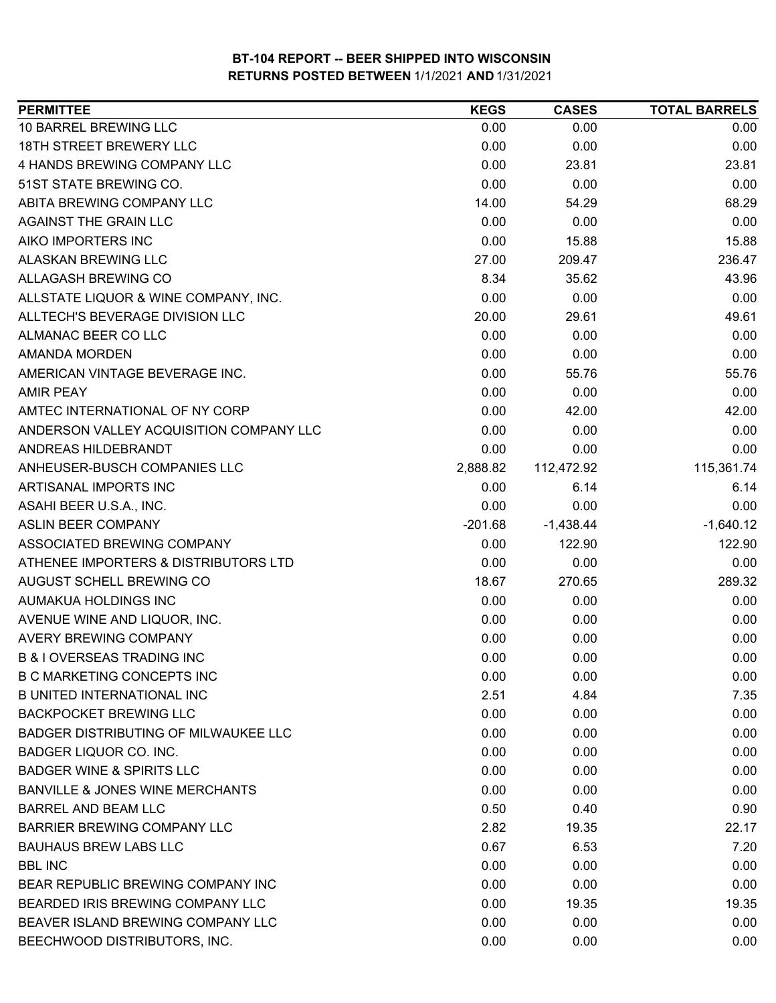| <b>PERMITTEE</b>                            | <b>KEGS</b> | <b>CASES</b> | <b>TOTAL BARRELS</b> |
|---------------------------------------------|-------------|--------------|----------------------|
| 10 BARREL BREWING LLC                       | 0.00        | 0.00         | 0.00                 |
| <b>18TH STREET BREWERY LLC</b>              | 0.00        | 0.00         | 0.00                 |
| 4 HANDS BREWING COMPANY LLC                 | 0.00        | 23.81        | 23.81                |
| 51ST STATE BREWING CO.                      | 0.00        | 0.00         | 0.00                 |
| ABITA BREWING COMPANY LLC                   | 14.00       | 54.29        | 68.29                |
| <b>AGAINST THE GRAIN LLC</b>                | 0.00        | 0.00         | 0.00                 |
| AIKO IMPORTERS INC                          | 0.00        | 15.88        | 15.88                |
| ALASKAN BREWING LLC                         | 27.00       | 209.47       | 236.47               |
| ALLAGASH BREWING CO                         | 8.34        | 35.62        | 43.96                |
| ALLSTATE LIQUOR & WINE COMPANY, INC.        | 0.00        | 0.00         | 0.00                 |
| ALLTECH'S BEVERAGE DIVISION LLC             | 20.00       | 29.61        | 49.61                |
| ALMANAC BEER CO LLC                         | 0.00        | 0.00         | 0.00                 |
| <b>AMANDA MORDEN</b>                        | 0.00        | 0.00         | 0.00                 |
| AMERICAN VINTAGE BEVERAGE INC.              | 0.00        | 55.76        | 55.76                |
| <b>AMIR PEAY</b>                            | 0.00        | 0.00         | 0.00                 |
| AMTEC INTERNATIONAL OF NY CORP              | 0.00        | 42.00        | 42.00                |
| ANDERSON VALLEY ACQUISITION COMPANY LLC     | 0.00        | 0.00         | 0.00                 |
| ANDREAS HILDEBRANDT                         | 0.00        | 0.00         | 0.00                 |
| ANHEUSER-BUSCH COMPANIES LLC                | 2,888.82    | 112,472.92   | 115,361.74           |
| ARTISANAL IMPORTS INC                       | 0.00        | 6.14         | 6.14                 |
| ASAHI BEER U.S.A., INC.                     | 0.00        | 0.00         | 0.00                 |
| <b>ASLIN BEER COMPANY</b>                   | $-201.68$   | $-1,438.44$  | $-1,640.12$          |
| ASSOCIATED BREWING COMPANY                  | 0.00        | 122.90       | 122.90               |
| ATHENEE IMPORTERS & DISTRIBUTORS LTD        | 0.00        | 0.00         | 0.00                 |
| AUGUST SCHELL BREWING CO                    | 18.67       | 270.65       | 289.32               |
| AUMAKUA HOLDINGS INC                        | 0.00        | 0.00         | 0.00                 |
| AVENUE WINE AND LIQUOR, INC.                | 0.00        | 0.00         | 0.00                 |
| <b>AVERY BREWING COMPANY</b>                | 0.00        | 0.00         | 0.00                 |
| <b>B &amp; I OVERSEAS TRADING INC</b>       | 0.00        | 0.00         | 0.00                 |
| <b>B C MARKETING CONCEPTS INC</b>           | 0.00        | 0.00         | 0.00                 |
| <b>B UNITED INTERNATIONAL INC</b>           | 2.51        | 4.84         | 7.35                 |
| <b>BACKPOCKET BREWING LLC</b>               | 0.00        | 0.00         | 0.00                 |
| <b>BADGER DISTRIBUTING OF MILWAUKEE LLC</b> | 0.00        | 0.00         | 0.00                 |
| <b>BADGER LIQUOR CO. INC.</b>               | 0.00        | 0.00         | 0.00                 |
| <b>BADGER WINE &amp; SPIRITS LLC</b>        | 0.00        | 0.00         | 0.00                 |
| <b>BANVILLE &amp; JONES WINE MERCHANTS</b>  | 0.00        | 0.00         | 0.00                 |
| <b>BARREL AND BEAM LLC</b>                  | 0.50        | 0.40         | 0.90                 |
| <b>BARRIER BREWING COMPANY LLC</b>          | 2.82        | 19.35        | 22.17                |
| <b>BAUHAUS BREW LABS LLC</b>                | 0.67        | 6.53         | 7.20                 |
| <b>BBL INC</b>                              | 0.00        | 0.00         | 0.00                 |
| BEAR REPUBLIC BREWING COMPANY INC           | 0.00        | 0.00         | 0.00                 |
| BEARDED IRIS BREWING COMPANY LLC            | 0.00        | 19.35        | 19.35                |
| BEAVER ISLAND BREWING COMPANY LLC           | 0.00        | 0.00         | 0.00                 |
| BEECHWOOD DISTRIBUTORS, INC.                | 0.00        | 0.00         | 0.00                 |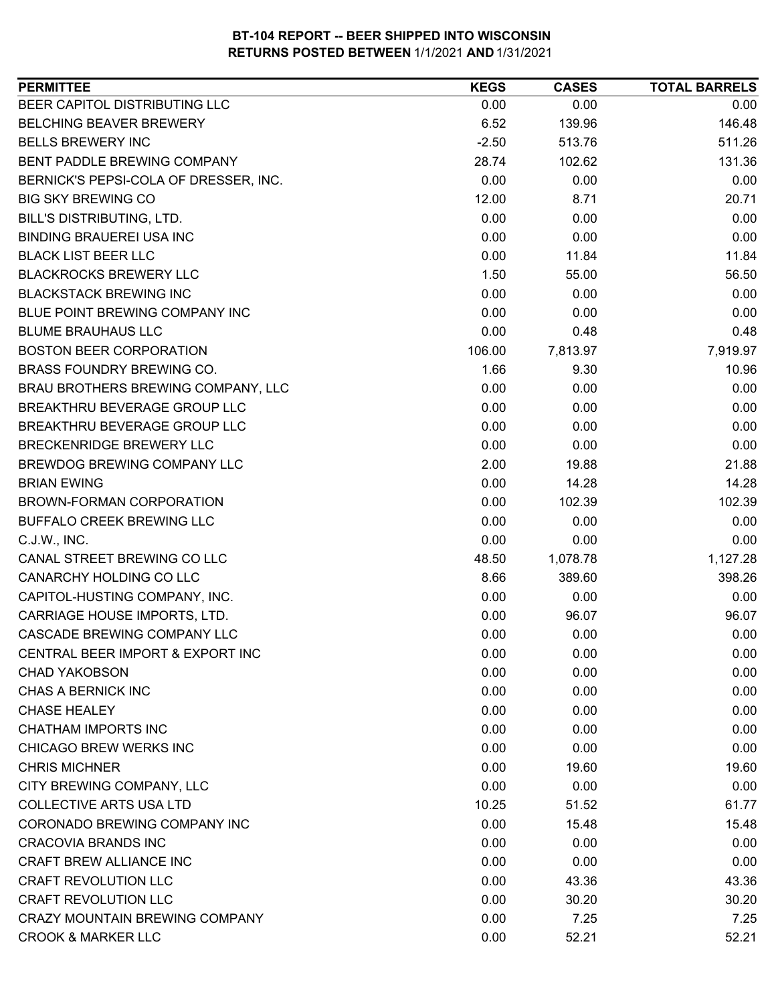| <b>PERMITTEE</b>                      | <b>KEGS</b> | <b>CASES</b> | <b>TOTAL BARRELS</b> |
|---------------------------------------|-------------|--------------|----------------------|
| BEER CAPITOL DISTRIBUTING LLC         | 0.00        | 0.00         | 0.00                 |
| <b>BELCHING BEAVER BREWERY</b>        | 6.52        | 139.96       | 146.48               |
| <b>BELLS BREWERY INC</b>              | $-2.50$     | 513.76       | 511.26               |
| BENT PADDLE BREWING COMPANY           | 28.74       | 102.62       | 131.36               |
| BERNICK'S PEPSI-COLA OF DRESSER, INC. | 0.00        | 0.00         | 0.00                 |
| <b>BIG SKY BREWING CO</b>             | 12.00       | 8.71         | 20.71                |
| BILL'S DISTRIBUTING, LTD.             | 0.00        | 0.00         | 0.00                 |
| <b>BINDING BRAUEREI USA INC</b>       | 0.00        | 0.00         | 0.00                 |
| <b>BLACK LIST BEER LLC</b>            | 0.00        | 11.84        | 11.84                |
| <b>BLACKROCKS BREWERY LLC</b>         | 1.50        | 55.00        | 56.50                |
| <b>BLACKSTACK BREWING INC</b>         | 0.00        | 0.00         | 0.00                 |
| BLUE POINT BREWING COMPANY INC        | 0.00        | 0.00         | 0.00                 |
| <b>BLUME BRAUHAUS LLC</b>             | 0.00        | 0.48         | 0.48                 |
| <b>BOSTON BEER CORPORATION</b>        | 106.00      | 7,813.97     | 7,919.97             |
| BRASS FOUNDRY BREWING CO.             | 1.66        | 9.30         | 10.96                |
| BRAU BROTHERS BREWING COMPANY, LLC    | 0.00        | 0.00         | 0.00                 |
| BREAKTHRU BEVERAGE GROUP LLC          | 0.00        | 0.00         | 0.00                 |
| <b>BREAKTHRU BEVERAGE GROUP LLC</b>   | 0.00        | 0.00         | 0.00                 |
| BRECKENRIDGE BREWERY LLC              | 0.00        | 0.00         | 0.00                 |
| BREWDOG BREWING COMPANY LLC           | 2.00        | 19.88        | 21.88                |
| <b>BRIAN EWING</b>                    | 0.00        | 14.28        | 14.28                |
| BROWN-FORMAN CORPORATION              | 0.00        | 102.39       | 102.39               |
| BUFFALO CREEK BREWING LLC             | 0.00        | 0.00         | 0.00                 |
| C.J.W., INC.                          | 0.00        | 0.00         | 0.00                 |
| CANAL STREET BREWING CO LLC           | 48.50       | 1,078.78     | 1,127.28             |
| CANARCHY HOLDING CO LLC               | 8.66        | 389.60       | 398.26               |
| CAPITOL-HUSTING COMPANY, INC.         | 0.00        | 0.00         | 0.00                 |
| CARRIAGE HOUSE IMPORTS, LTD.          | 0.00        | 96.07        | 96.07                |
| CASCADE BREWING COMPANY LLC           | 0.00        | 0.00         | 0.00                 |
| CENTRAL BEER IMPORT & EXPORT INC      | 0.00        | 0.00         | 0.00                 |
| <b>CHAD YAKOBSON</b>                  | 0.00        | 0.00         | 0.00                 |
| CHAS A BERNICK INC                    | 0.00        | 0.00         | 0.00                 |
| <b>CHASE HEALEY</b>                   | 0.00        | 0.00         | 0.00                 |
| CHATHAM IMPORTS INC                   | 0.00        | 0.00         | 0.00                 |
| <b>CHICAGO BREW WERKS INC</b>         | 0.00        | 0.00         | 0.00                 |
| <b>CHRIS MICHNER</b>                  | 0.00        | 19.60        | 19.60                |
| CITY BREWING COMPANY, LLC             | 0.00        | 0.00         | 0.00                 |
| <b>COLLECTIVE ARTS USA LTD</b>        | 10.25       | 51.52        | 61.77                |
| CORONADO BREWING COMPANY INC          | 0.00        | 15.48        | 15.48                |
| <b>CRACOVIA BRANDS INC</b>            | 0.00        | 0.00         | 0.00                 |
| CRAFT BREW ALLIANCE INC               | 0.00        | 0.00         | 0.00                 |
| <b>CRAFT REVOLUTION LLC</b>           | 0.00        | 43.36        | 43.36                |
| <b>CRAFT REVOLUTION LLC</b>           | 0.00        | 30.20        | 30.20                |
| <b>CRAZY MOUNTAIN BREWING COMPANY</b> | 0.00        | 7.25         | 7.25                 |
| <b>CROOK &amp; MARKER LLC</b>         | 0.00        | 52.21        | 52.21                |
|                                       |             |              |                      |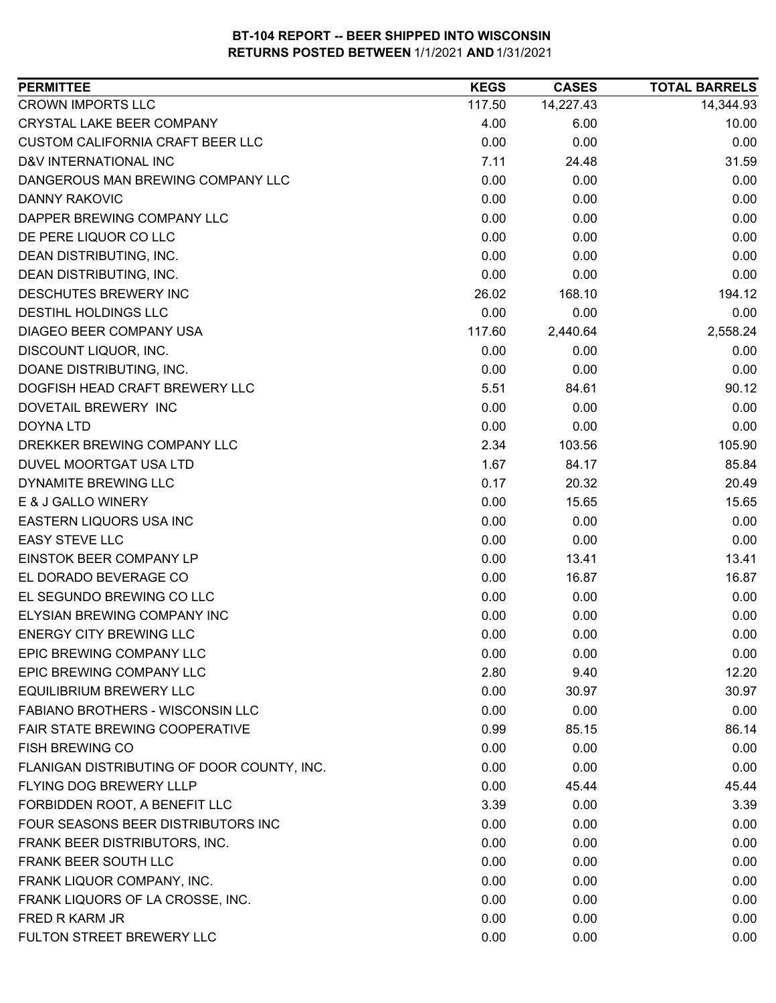| <b>CROWN IMPORTS LLC</b><br>14,227.43<br>14,344.93<br>117.50<br><b>CRYSTAL LAKE BEER COMPANY</b><br>4.00<br>10.00<br>6.00<br><b>CUSTOM CALIFORNIA CRAFT BEER LLC</b><br>0.00<br>0.00<br>0.00<br>D&V INTERNATIONAL INC<br>7.11<br>31.59<br>24.48<br>0.00<br>DANGEROUS MAN BREWING COMPANY LLC<br>0.00<br>0.00<br>0.00<br><b>DANNY RAKOVIC</b><br>0.00<br>0.00<br>DAPPER BREWING COMPANY LLC<br>0.00<br>0.00<br>0.00<br>0.00<br>DE PERE LIQUOR CO LLC<br>0.00<br>0.00<br>0.00<br>DEAN DISTRIBUTING, INC.<br>0.00<br>0.00<br>DEAN DISTRIBUTING, INC.<br>0.00<br>0.00<br>0.00<br>168.10<br>194.12<br>DESCHUTES BREWERY INC<br>26.02<br>DESTIHL HOLDINGS LLC<br>0.00<br>0.00<br>0.00<br>2,558.24<br>DIAGEO BEER COMPANY USA<br>117.60<br>2,440.64<br>DISCOUNT LIQUOR, INC.<br>0.00<br>0.00<br>0.00<br>DOANE DISTRIBUTING, INC.<br>0.00<br>0.00<br>0.00<br>5.51<br>84.61<br>90.12<br>DOGFISH HEAD CRAFT BREWERY LLC<br>0.00<br>0.00<br>DOVETAIL BREWERY INC<br>0.00<br>0.00<br>0.00<br><b>DOYNA LTD</b><br>0.00<br>DREKKER BREWING COMPANY LLC<br>2.34<br>103.56<br>105.90<br>DUVEL MOORTGAT USA LTD<br>1.67<br>85.84<br>84.17<br>0.17<br>20.49<br>DYNAMITE BREWING LLC<br>20.32<br>E & J GALLO WINERY<br>0.00<br>15.65<br>15.65<br>EASTERN LIQUORS USA INC<br>0.00<br>0.00<br>0.00<br><b>EASY STEVE LLC</b><br>0.00<br>0.00<br>0.00<br>EINSTOK BEER COMPANY LP<br>0.00<br>13.41<br>13.41<br>EL DORADO BEVERAGE CO<br>0.00<br>16.87<br>16.87<br>EL SEGUNDO BREWING CO LLC<br>0.00<br>0.00<br>0.00<br>ELYSIAN BREWING COMPANY INC<br>0.00<br>0.00<br>0.00<br><b>ENERGY CITY BREWING LLC</b><br>0.00<br>0.00<br>0.00<br>EPIC BREWING COMPANY LLC<br>0.00<br>0.00<br>0.00<br>EPIC BREWING COMPANY LLC<br>2.80<br>12.20<br>9.40<br><b>EQUILIBRIUM BREWERY LLC</b><br>0.00<br>30.97<br>30.97<br>FABIANO BROTHERS - WISCONSIN LLC<br>0.00<br>0.00<br>0.00<br><b>FAIR STATE BREWING COOPERATIVE</b><br>0.99<br>85.15<br>86.14<br>0.00<br>0.00<br><b>FISH BREWING CO</b><br>0.00<br>FLANIGAN DISTRIBUTING OF DOOR COUNTY, INC.<br>0.00<br>0.00<br>0.00<br>FLYING DOG BREWERY LLLP<br>0.00<br>45.44<br>45.44<br>FORBIDDEN ROOT, A BENEFIT LLC<br>3.39<br>0.00<br>3.39<br>FOUR SEASONS BEER DISTRIBUTORS INC<br>0.00<br>0.00<br>0.00<br>FRANK BEER DISTRIBUTORS, INC.<br>0.00<br>0.00<br>0.00<br>FRANK BEER SOUTH LLC<br>0.00<br>0.00<br>0.00<br>FRANK LIQUOR COMPANY, INC.<br>0.00<br>0.00<br>0.00<br>FRANK LIQUORS OF LA CROSSE, INC.<br>0.00<br>0.00<br>0.00<br>FRED R KARM JR<br>0.00<br>0.00<br>0.00<br>FULTON STREET BREWERY LLC<br>0.00<br>0.00<br>0.00 | <b>PERMITTEE</b> | <b>KEGS</b> | <b>CASES</b> | <b>TOTAL BARRELS</b> |
|------------------------------------------------------------------------------------------------------------------------------------------------------------------------------------------------------------------------------------------------------------------------------------------------------------------------------------------------------------------------------------------------------------------------------------------------------------------------------------------------------------------------------------------------------------------------------------------------------------------------------------------------------------------------------------------------------------------------------------------------------------------------------------------------------------------------------------------------------------------------------------------------------------------------------------------------------------------------------------------------------------------------------------------------------------------------------------------------------------------------------------------------------------------------------------------------------------------------------------------------------------------------------------------------------------------------------------------------------------------------------------------------------------------------------------------------------------------------------------------------------------------------------------------------------------------------------------------------------------------------------------------------------------------------------------------------------------------------------------------------------------------------------------------------------------------------------------------------------------------------------------------------------------------------------------------------------------------------------------------------------------------------------------------------------------------------------------------------------------------------------------------------------------------------------------------------------------------------------------------------------------------------------------------------------------------------------------------------------------------------------------------------------------------------------------------------------------------------------------------------------------------------------------------------|------------------|-------------|--------------|----------------------|
|                                                                                                                                                                                                                                                                                                                                                                                                                                                                                                                                                                                                                                                                                                                                                                                                                                                                                                                                                                                                                                                                                                                                                                                                                                                                                                                                                                                                                                                                                                                                                                                                                                                                                                                                                                                                                                                                                                                                                                                                                                                                                                                                                                                                                                                                                                                                                                                                                                                                                                                                                |                  |             |              |                      |
|                                                                                                                                                                                                                                                                                                                                                                                                                                                                                                                                                                                                                                                                                                                                                                                                                                                                                                                                                                                                                                                                                                                                                                                                                                                                                                                                                                                                                                                                                                                                                                                                                                                                                                                                                                                                                                                                                                                                                                                                                                                                                                                                                                                                                                                                                                                                                                                                                                                                                                                                                |                  |             |              |                      |
|                                                                                                                                                                                                                                                                                                                                                                                                                                                                                                                                                                                                                                                                                                                                                                                                                                                                                                                                                                                                                                                                                                                                                                                                                                                                                                                                                                                                                                                                                                                                                                                                                                                                                                                                                                                                                                                                                                                                                                                                                                                                                                                                                                                                                                                                                                                                                                                                                                                                                                                                                |                  |             |              |                      |
|                                                                                                                                                                                                                                                                                                                                                                                                                                                                                                                                                                                                                                                                                                                                                                                                                                                                                                                                                                                                                                                                                                                                                                                                                                                                                                                                                                                                                                                                                                                                                                                                                                                                                                                                                                                                                                                                                                                                                                                                                                                                                                                                                                                                                                                                                                                                                                                                                                                                                                                                                |                  |             |              |                      |
|                                                                                                                                                                                                                                                                                                                                                                                                                                                                                                                                                                                                                                                                                                                                                                                                                                                                                                                                                                                                                                                                                                                                                                                                                                                                                                                                                                                                                                                                                                                                                                                                                                                                                                                                                                                                                                                                                                                                                                                                                                                                                                                                                                                                                                                                                                                                                                                                                                                                                                                                                |                  |             |              |                      |
|                                                                                                                                                                                                                                                                                                                                                                                                                                                                                                                                                                                                                                                                                                                                                                                                                                                                                                                                                                                                                                                                                                                                                                                                                                                                                                                                                                                                                                                                                                                                                                                                                                                                                                                                                                                                                                                                                                                                                                                                                                                                                                                                                                                                                                                                                                                                                                                                                                                                                                                                                |                  |             |              |                      |
|                                                                                                                                                                                                                                                                                                                                                                                                                                                                                                                                                                                                                                                                                                                                                                                                                                                                                                                                                                                                                                                                                                                                                                                                                                                                                                                                                                                                                                                                                                                                                                                                                                                                                                                                                                                                                                                                                                                                                                                                                                                                                                                                                                                                                                                                                                                                                                                                                                                                                                                                                |                  |             |              |                      |
|                                                                                                                                                                                                                                                                                                                                                                                                                                                                                                                                                                                                                                                                                                                                                                                                                                                                                                                                                                                                                                                                                                                                                                                                                                                                                                                                                                                                                                                                                                                                                                                                                                                                                                                                                                                                                                                                                                                                                                                                                                                                                                                                                                                                                                                                                                                                                                                                                                                                                                                                                |                  |             |              |                      |
|                                                                                                                                                                                                                                                                                                                                                                                                                                                                                                                                                                                                                                                                                                                                                                                                                                                                                                                                                                                                                                                                                                                                                                                                                                                                                                                                                                                                                                                                                                                                                                                                                                                                                                                                                                                                                                                                                                                                                                                                                                                                                                                                                                                                                                                                                                                                                                                                                                                                                                                                                |                  |             |              |                      |
|                                                                                                                                                                                                                                                                                                                                                                                                                                                                                                                                                                                                                                                                                                                                                                                                                                                                                                                                                                                                                                                                                                                                                                                                                                                                                                                                                                                                                                                                                                                                                                                                                                                                                                                                                                                                                                                                                                                                                                                                                                                                                                                                                                                                                                                                                                                                                                                                                                                                                                                                                |                  |             |              |                      |
|                                                                                                                                                                                                                                                                                                                                                                                                                                                                                                                                                                                                                                                                                                                                                                                                                                                                                                                                                                                                                                                                                                                                                                                                                                                                                                                                                                                                                                                                                                                                                                                                                                                                                                                                                                                                                                                                                                                                                                                                                                                                                                                                                                                                                                                                                                                                                                                                                                                                                                                                                |                  |             |              |                      |
|                                                                                                                                                                                                                                                                                                                                                                                                                                                                                                                                                                                                                                                                                                                                                                                                                                                                                                                                                                                                                                                                                                                                                                                                                                                                                                                                                                                                                                                                                                                                                                                                                                                                                                                                                                                                                                                                                                                                                                                                                                                                                                                                                                                                                                                                                                                                                                                                                                                                                                                                                |                  |             |              |                      |
|                                                                                                                                                                                                                                                                                                                                                                                                                                                                                                                                                                                                                                                                                                                                                                                                                                                                                                                                                                                                                                                                                                                                                                                                                                                                                                                                                                                                                                                                                                                                                                                                                                                                                                                                                                                                                                                                                                                                                                                                                                                                                                                                                                                                                                                                                                                                                                                                                                                                                                                                                |                  |             |              |                      |
|                                                                                                                                                                                                                                                                                                                                                                                                                                                                                                                                                                                                                                                                                                                                                                                                                                                                                                                                                                                                                                                                                                                                                                                                                                                                                                                                                                                                                                                                                                                                                                                                                                                                                                                                                                                                                                                                                                                                                                                                                                                                                                                                                                                                                                                                                                                                                                                                                                                                                                                                                |                  |             |              |                      |
|                                                                                                                                                                                                                                                                                                                                                                                                                                                                                                                                                                                                                                                                                                                                                                                                                                                                                                                                                                                                                                                                                                                                                                                                                                                                                                                                                                                                                                                                                                                                                                                                                                                                                                                                                                                                                                                                                                                                                                                                                                                                                                                                                                                                                                                                                                                                                                                                                                                                                                                                                |                  |             |              |                      |
|                                                                                                                                                                                                                                                                                                                                                                                                                                                                                                                                                                                                                                                                                                                                                                                                                                                                                                                                                                                                                                                                                                                                                                                                                                                                                                                                                                                                                                                                                                                                                                                                                                                                                                                                                                                                                                                                                                                                                                                                                                                                                                                                                                                                                                                                                                                                                                                                                                                                                                                                                |                  |             |              |                      |
|                                                                                                                                                                                                                                                                                                                                                                                                                                                                                                                                                                                                                                                                                                                                                                                                                                                                                                                                                                                                                                                                                                                                                                                                                                                                                                                                                                                                                                                                                                                                                                                                                                                                                                                                                                                                                                                                                                                                                                                                                                                                                                                                                                                                                                                                                                                                                                                                                                                                                                                                                |                  |             |              |                      |
|                                                                                                                                                                                                                                                                                                                                                                                                                                                                                                                                                                                                                                                                                                                                                                                                                                                                                                                                                                                                                                                                                                                                                                                                                                                                                                                                                                                                                                                                                                                                                                                                                                                                                                                                                                                                                                                                                                                                                                                                                                                                                                                                                                                                                                                                                                                                                                                                                                                                                                                                                |                  |             |              |                      |
|                                                                                                                                                                                                                                                                                                                                                                                                                                                                                                                                                                                                                                                                                                                                                                                                                                                                                                                                                                                                                                                                                                                                                                                                                                                                                                                                                                                                                                                                                                                                                                                                                                                                                                                                                                                                                                                                                                                                                                                                                                                                                                                                                                                                                                                                                                                                                                                                                                                                                                                                                |                  |             |              |                      |
|                                                                                                                                                                                                                                                                                                                                                                                                                                                                                                                                                                                                                                                                                                                                                                                                                                                                                                                                                                                                                                                                                                                                                                                                                                                                                                                                                                                                                                                                                                                                                                                                                                                                                                                                                                                                                                                                                                                                                                                                                                                                                                                                                                                                                                                                                                                                                                                                                                                                                                                                                |                  |             |              |                      |
|                                                                                                                                                                                                                                                                                                                                                                                                                                                                                                                                                                                                                                                                                                                                                                                                                                                                                                                                                                                                                                                                                                                                                                                                                                                                                                                                                                                                                                                                                                                                                                                                                                                                                                                                                                                                                                                                                                                                                                                                                                                                                                                                                                                                                                                                                                                                                                                                                                                                                                                                                |                  |             |              |                      |
|                                                                                                                                                                                                                                                                                                                                                                                                                                                                                                                                                                                                                                                                                                                                                                                                                                                                                                                                                                                                                                                                                                                                                                                                                                                                                                                                                                                                                                                                                                                                                                                                                                                                                                                                                                                                                                                                                                                                                                                                                                                                                                                                                                                                                                                                                                                                                                                                                                                                                                                                                |                  |             |              |                      |
|                                                                                                                                                                                                                                                                                                                                                                                                                                                                                                                                                                                                                                                                                                                                                                                                                                                                                                                                                                                                                                                                                                                                                                                                                                                                                                                                                                                                                                                                                                                                                                                                                                                                                                                                                                                                                                                                                                                                                                                                                                                                                                                                                                                                                                                                                                                                                                                                                                                                                                                                                |                  |             |              |                      |
|                                                                                                                                                                                                                                                                                                                                                                                                                                                                                                                                                                                                                                                                                                                                                                                                                                                                                                                                                                                                                                                                                                                                                                                                                                                                                                                                                                                                                                                                                                                                                                                                                                                                                                                                                                                                                                                                                                                                                                                                                                                                                                                                                                                                                                                                                                                                                                                                                                                                                                                                                |                  |             |              |                      |
|                                                                                                                                                                                                                                                                                                                                                                                                                                                                                                                                                                                                                                                                                                                                                                                                                                                                                                                                                                                                                                                                                                                                                                                                                                                                                                                                                                                                                                                                                                                                                                                                                                                                                                                                                                                                                                                                                                                                                                                                                                                                                                                                                                                                                                                                                                                                                                                                                                                                                                                                                |                  |             |              |                      |
|                                                                                                                                                                                                                                                                                                                                                                                                                                                                                                                                                                                                                                                                                                                                                                                                                                                                                                                                                                                                                                                                                                                                                                                                                                                                                                                                                                                                                                                                                                                                                                                                                                                                                                                                                                                                                                                                                                                                                                                                                                                                                                                                                                                                                                                                                                                                                                                                                                                                                                                                                |                  |             |              |                      |
|                                                                                                                                                                                                                                                                                                                                                                                                                                                                                                                                                                                                                                                                                                                                                                                                                                                                                                                                                                                                                                                                                                                                                                                                                                                                                                                                                                                                                                                                                                                                                                                                                                                                                                                                                                                                                                                                                                                                                                                                                                                                                                                                                                                                                                                                                                                                                                                                                                                                                                                                                |                  |             |              |                      |
|                                                                                                                                                                                                                                                                                                                                                                                                                                                                                                                                                                                                                                                                                                                                                                                                                                                                                                                                                                                                                                                                                                                                                                                                                                                                                                                                                                                                                                                                                                                                                                                                                                                                                                                                                                                                                                                                                                                                                                                                                                                                                                                                                                                                                                                                                                                                                                                                                                                                                                                                                |                  |             |              |                      |
|                                                                                                                                                                                                                                                                                                                                                                                                                                                                                                                                                                                                                                                                                                                                                                                                                                                                                                                                                                                                                                                                                                                                                                                                                                                                                                                                                                                                                                                                                                                                                                                                                                                                                                                                                                                                                                                                                                                                                                                                                                                                                                                                                                                                                                                                                                                                                                                                                                                                                                                                                |                  |             |              |                      |
|                                                                                                                                                                                                                                                                                                                                                                                                                                                                                                                                                                                                                                                                                                                                                                                                                                                                                                                                                                                                                                                                                                                                                                                                                                                                                                                                                                                                                                                                                                                                                                                                                                                                                                                                                                                                                                                                                                                                                                                                                                                                                                                                                                                                                                                                                                                                                                                                                                                                                                                                                |                  |             |              |                      |
|                                                                                                                                                                                                                                                                                                                                                                                                                                                                                                                                                                                                                                                                                                                                                                                                                                                                                                                                                                                                                                                                                                                                                                                                                                                                                                                                                                                                                                                                                                                                                                                                                                                                                                                                                                                                                                                                                                                                                                                                                                                                                                                                                                                                                                                                                                                                                                                                                                                                                                                                                |                  |             |              |                      |
|                                                                                                                                                                                                                                                                                                                                                                                                                                                                                                                                                                                                                                                                                                                                                                                                                                                                                                                                                                                                                                                                                                                                                                                                                                                                                                                                                                                                                                                                                                                                                                                                                                                                                                                                                                                                                                                                                                                                                                                                                                                                                                                                                                                                                                                                                                                                                                                                                                                                                                                                                |                  |             |              |                      |
|                                                                                                                                                                                                                                                                                                                                                                                                                                                                                                                                                                                                                                                                                                                                                                                                                                                                                                                                                                                                                                                                                                                                                                                                                                                                                                                                                                                                                                                                                                                                                                                                                                                                                                                                                                                                                                                                                                                                                                                                                                                                                                                                                                                                                                                                                                                                                                                                                                                                                                                                                |                  |             |              |                      |
|                                                                                                                                                                                                                                                                                                                                                                                                                                                                                                                                                                                                                                                                                                                                                                                                                                                                                                                                                                                                                                                                                                                                                                                                                                                                                                                                                                                                                                                                                                                                                                                                                                                                                                                                                                                                                                                                                                                                                                                                                                                                                                                                                                                                                                                                                                                                                                                                                                                                                                                                                |                  |             |              |                      |
|                                                                                                                                                                                                                                                                                                                                                                                                                                                                                                                                                                                                                                                                                                                                                                                                                                                                                                                                                                                                                                                                                                                                                                                                                                                                                                                                                                                                                                                                                                                                                                                                                                                                                                                                                                                                                                                                                                                                                                                                                                                                                                                                                                                                                                                                                                                                                                                                                                                                                                                                                |                  |             |              |                      |
|                                                                                                                                                                                                                                                                                                                                                                                                                                                                                                                                                                                                                                                                                                                                                                                                                                                                                                                                                                                                                                                                                                                                                                                                                                                                                                                                                                                                                                                                                                                                                                                                                                                                                                                                                                                                                                                                                                                                                                                                                                                                                                                                                                                                                                                                                                                                                                                                                                                                                                                                                |                  |             |              |                      |
|                                                                                                                                                                                                                                                                                                                                                                                                                                                                                                                                                                                                                                                                                                                                                                                                                                                                                                                                                                                                                                                                                                                                                                                                                                                                                                                                                                                                                                                                                                                                                                                                                                                                                                                                                                                                                                                                                                                                                                                                                                                                                                                                                                                                                                                                                                                                                                                                                                                                                                                                                |                  |             |              |                      |
|                                                                                                                                                                                                                                                                                                                                                                                                                                                                                                                                                                                                                                                                                                                                                                                                                                                                                                                                                                                                                                                                                                                                                                                                                                                                                                                                                                                                                                                                                                                                                                                                                                                                                                                                                                                                                                                                                                                                                                                                                                                                                                                                                                                                                                                                                                                                                                                                                                                                                                                                                |                  |             |              |                      |
|                                                                                                                                                                                                                                                                                                                                                                                                                                                                                                                                                                                                                                                                                                                                                                                                                                                                                                                                                                                                                                                                                                                                                                                                                                                                                                                                                                                                                                                                                                                                                                                                                                                                                                                                                                                                                                                                                                                                                                                                                                                                                                                                                                                                                                                                                                                                                                                                                                                                                                                                                |                  |             |              |                      |
|                                                                                                                                                                                                                                                                                                                                                                                                                                                                                                                                                                                                                                                                                                                                                                                                                                                                                                                                                                                                                                                                                                                                                                                                                                                                                                                                                                                                                                                                                                                                                                                                                                                                                                                                                                                                                                                                                                                                                                                                                                                                                                                                                                                                                                                                                                                                                                                                                                                                                                                                                |                  |             |              |                      |
|                                                                                                                                                                                                                                                                                                                                                                                                                                                                                                                                                                                                                                                                                                                                                                                                                                                                                                                                                                                                                                                                                                                                                                                                                                                                                                                                                                                                                                                                                                                                                                                                                                                                                                                                                                                                                                                                                                                                                                                                                                                                                                                                                                                                                                                                                                                                                                                                                                                                                                                                                |                  |             |              |                      |
|                                                                                                                                                                                                                                                                                                                                                                                                                                                                                                                                                                                                                                                                                                                                                                                                                                                                                                                                                                                                                                                                                                                                                                                                                                                                                                                                                                                                                                                                                                                                                                                                                                                                                                                                                                                                                                                                                                                                                                                                                                                                                                                                                                                                                                                                                                                                                                                                                                                                                                                                                |                  |             |              |                      |
|                                                                                                                                                                                                                                                                                                                                                                                                                                                                                                                                                                                                                                                                                                                                                                                                                                                                                                                                                                                                                                                                                                                                                                                                                                                                                                                                                                                                                                                                                                                                                                                                                                                                                                                                                                                                                                                                                                                                                                                                                                                                                                                                                                                                                                                                                                                                                                                                                                                                                                                                                |                  |             |              |                      |
|                                                                                                                                                                                                                                                                                                                                                                                                                                                                                                                                                                                                                                                                                                                                                                                                                                                                                                                                                                                                                                                                                                                                                                                                                                                                                                                                                                                                                                                                                                                                                                                                                                                                                                                                                                                                                                                                                                                                                                                                                                                                                                                                                                                                                                                                                                                                                                                                                                                                                                                                                |                  |             |              |                      |
|                                                                                                                                                                                                                                                                                                                                                                                                                                                                                                                                                                                                                                                                                                                                                                                                                                                                                                                                                                                                                                                                                                                                                                                                                                                                                                                                                                                                                                                                                                                                                                                                                                                                                                                                                                                                                                                                                                                                                                                                                                                                                                                                                                                                                                                                                                                                                                                                                                                                                                                                                |                  |             |              |                      |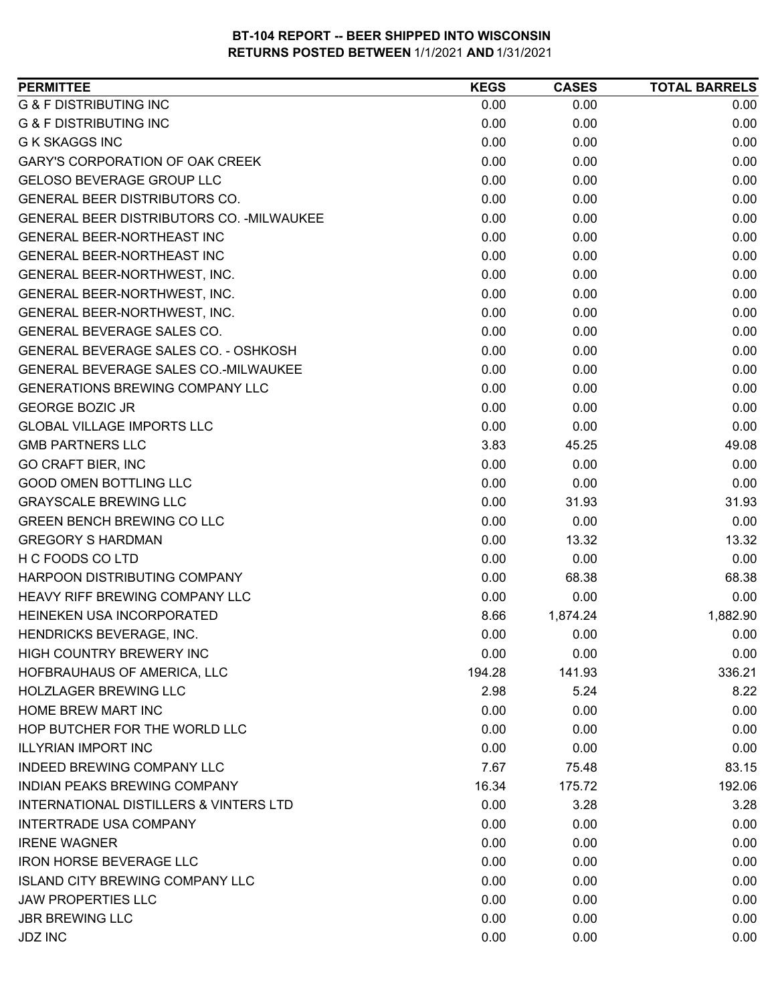| <b>PERMITTEE</b>                            | <b>KEGS</b> | <b>CASES</b> | <b>TOTAL BARRELS</b> |
|---------------------------------------------|-------------|--------------|----------------------|
| <b>G &amp; F DISTRIBUTING INC</b>           | 0.00        | 0.00         | 0.00                 |
| <b>G &amp; F DISTRIBUTING INC</b>           | 0.00        | 0.00         | 0.00                 |
| <b>G K SKAGGS INC</b>                       | 0.00        | 0.00         | 0.00                 |
| <b>GARY'S CORPORATION OF OAK CREEK</b>      | 0.00        | 0.00         | 0.00                 |
| <b>GELOSO BEVERAGE GROUP LLC</b>            | 0.00        | 0.00         | 0.00                 |
| GENERAL BEER DISTRIBUTORS CO.               | 0.00        | 0.00         | 0.00                 |
| GENERAL BEER DISTRIBUTORS CO. - MILWAUKEE   | 0.00        | 0.00         | 0.00                 |
| <b>GENERAL BEER-NORTHEAST INC</b>           | 0.00        | 0.00         | 0.00                 |
| <b>GENERAL BEER-NORTHEAST INC</b>           | 0.00        | 0.00         | 0.00                 |
| GENERAL BEER-NORTHWEST, INC.                | 0.00        | 0.00         | 0.00                 |
| GENERAL BEER-NORTHWEST, INC.                | 0.00        | 0.00         | 0.00                 |
| GENERAL BEER-NORTHWEST, INC.                | 0.00        | 0.00         | 0.00                 |
| GENERAL BEVERAGE SALES CO.                  | 0.00        | 0.00         | 0.00                 |
| GENERAL BEVERAGE SALES CO. - OSHKOSH        | 0.00        | 0.00         | 0.00                 |
| <b>GENERAL BEVERAGE SALES CO.-MILWAUKEE</b> | 0.00        | 0.00         | 0.00                 |
| <b>GENERATIONS BREWING COMPANY LLC</b>      | 0.00        | 0.00         | 0.00                 |
| <b>GEORGE BOZIC JR</b>                      | 0.00        | 0.00         | 0.00                 |
| <b>GLOBAL VILLAGE IMPORTS LLC</b>           | 0.00        | 0.00         | 0.00                 |
| <b>GMB PARTNERS LLC</b>                     | 3.83        | 45.25        | 49.08                |
| <b>GO CRAFT BIER, INC</b>                   | 0.00        | 0.00         | 0.00                 |
| <b>GOOD OMEN BOTTLING LLC</b>               | 0.00        | 0.00         | 0.00                 |
| <b>GRAYSCALE BREWING LLC</b>                | 0.00        | 31.93        | 31.93                |
| <b>GREEN BENCH BREWING CO LLC</b>           | 0.00        | 0.00         | 0.00                 |
| <b>GREGORY S HARDMAN</b>                    | 0.00        | 13.32        | 13.32                |
| H C FOODS CO LTD                            | 0.00        | 0.00         | 0.00                 |
| HARPOON DISTRIBUTING COMPANY                | 0.00        | 68.38        | 68.38                |
| HEAVY RIFF BREWING COMPANY LLC              | 0.00        | 0.00         | 0.00                 |
| <b>HEINEKEN USA INCORPORATED</b>            | 8.66        | 1,874.24     | 1,882.90             |
| HENDRICKS BEVERAGE, INC.                    | 0.00        | 0.00         | 0.00                 |
| HIGH COUNTRY BREWERY INC                    | 0.00        | 0.00         | 0.00                 |
| HOFBRAUHAUS OF AMERICA, LLC                 | 194.28      | 141.93       | 336.21               |
| <b>HOLZLAGER BREWING LLC</b>                | 2.98        | 5.24         | 8.22                 |
| HOME BREW MART INC                          | 0.00        | 0.00         | 0.00                 |
| HOP BUTCHER FOR THE WORLD LLC               | 0.00        | 0.00         | 0.00                 |
| <b>ILLYRIAN IMPORT INC</b>                  | 0.00        | 0.00         | 0.00                 |
| <b>INDEED BREWING COMPANY LLC</b>           | 7.67        | 75.48        | 83.15                |
| INDIAN PEAKS BREWING COMPANY                | 16.34       | 175.72       | 192.06               |
| INTERNATIONAL DISTILLERS & VINTERS LTD      | 0.00        | 3.28         | 3.28                 |
| INTERTRADE USA COMPANY                      | 0.00        | 0.00         | 0.00                 |
| <b>IRENE WAGNER</b>                         | 0.00        | 0.00         | 0.00                 |
| <b>IRON HORSE BEVERAGE LLC</b>              | 0.00        | 0.00         | 0.00                 |
| <b>ISLAND CITY BREWING COMPANY LLC</b>      | 0.00        | 0.00         | 0.00                 |
| <b>JAW PROPERTIES LLC</b>                   | 0.00        | 0.00         | 0.00                 |
| <b>JBR BREWING LLC</b>                      | 0.00        | 0.00         | 0.00                 |
| <b>JDZ INC</b>                              | 0.00        | 0.00         | 0.00                 |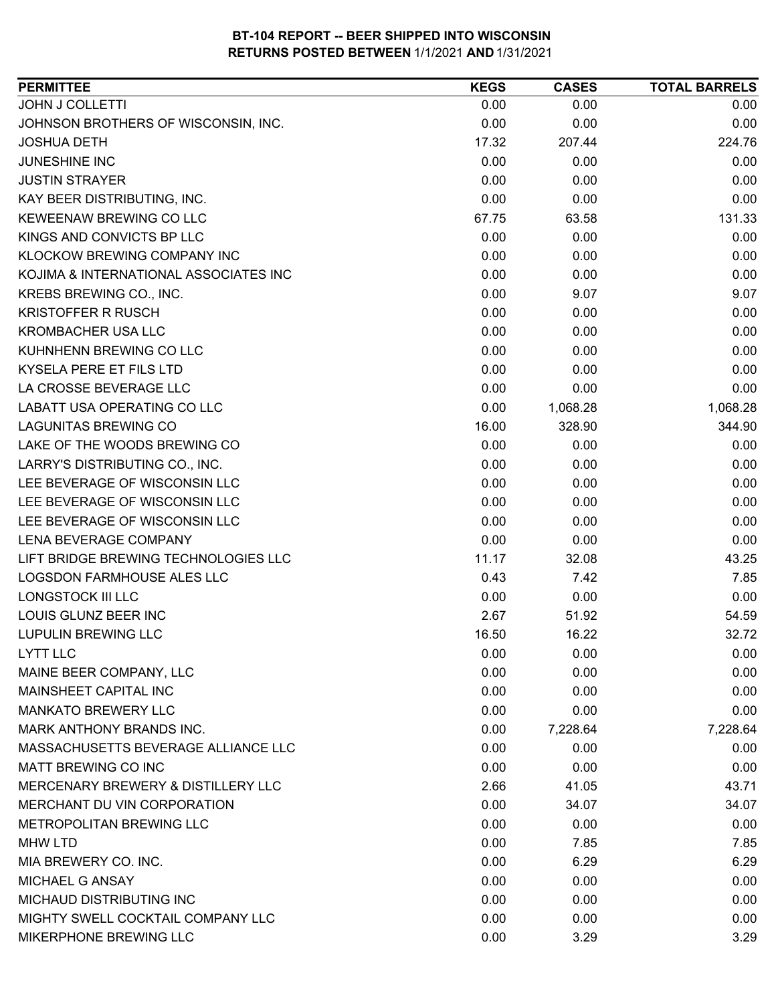| <b>PERMITTEE</b>                      | <b>KEGS</b> | <b>CASES</b> | <b>TOTAL BARRELS</b> |
|---------------------------------------|-------------|--------------|----------------------|
| <b>JOHN J COLLETTI</b>                | 0.00        | 0.00         | 0.00                 |
| JOHNSON BROTHERS OF WISCONSIN, INC.   | 0.00        | 0.00         | 0.00                 |
| <b>JOSHUA DETH</b>                    | 17.32       | 207.44       | 224.76               |
| JUNESHINE INC                         | 0.00        | 0.00         | 0.00                 |
| <b>JUSTIN STRAYER</b>                 | 0.00        | 0.00         | 0.00                 |
| KAY BEER DISTRIBUTING, INC.           | 0.00        | 0.00         | 0.00                 |
| KEWEENAW BREWING CO LLC               | 67.75       | 63.58        | 131.33               |
| KINGS AND CONVICTS BP LLC             | 0.00        | 0.00         | 0.00                 |
| <b>KLOCKOW BREWING COMPANY INC</b>    | 0.00        | 0.00         | 0.00                 |
| KOJIMA & INTERNATIONAL ASSOCIATES INC | 0.00        | 0.00         | 0.00                 |
| KREBS BREWING CO., INC.               | 0.00        | 9.07         | 9.07                 |
| <b>KRISTOFFER R RUSCH</b>             | 0.00        | 0.00         | 0.00                 |
| <b>KROMBACHER USA LLC</b>             | 0.00        | 0.00         | 0.00                 |
| KUHNHENN BREWING CO LLC               | 0.00        | 0.00         | 0.00                 |
| KYSELA PERE ET FILS LTD               | 0.00        | 0.00         | 0.00                 |
| LA CROSSE BEVERAGE LLC                | 0.00        | 0.00         | 0.00                 |
| LABATT USA OPERATING CO LLC           | 0.00        | 1,068.28     | 1,068.28             |
| <b>LAGUNITAS BREWING CO</b>           | 16.00       | 328.90       | 344.90               |
| LAKE OF THE WOODS BREWING CO          | 0.00        | 0.00         | 0.00                 |
| LARRY'S DISTRIBUTING CO., INC.        | 0.00        | 0.00         | 0.00                 |
| LEE BEVERAGE OF WISCONSIN LLC         | 0.00        | 0.00         | 0.00                 |
| LEE BEVERAGE OF WISCONSIN LLC         | 0.00        | 0.00         | 0.00                 |
| LEE BEVERAGE OF WISCONSIN LLC         | 0.00        | 0.00         | 0.00                 |
| LENA BEVERAGE COMPANY                 | 0.00        | 0.00         | 0.00                 |
| LIFT BRIDGE BREWING TECHNOLOGIES LLC  | 11.17       | 32.08        | 43.25                |
| LOGSDON FARMHOUSE ALES LLC            | 0.43        | 7.42         | 7.85                 |
| <b>LONGSTOCK III LLC</b>              | 0.00        | 0.00         | 0.00                 |
| LOUIS GLUNZ BEER INC                  | 2.67        | 51.92        | 54.59                |
| <b>LUPULIN BREWING LLC</b>            | 16.50       | 16.22        | 32.72                |
| <b>LYTT LLC</b>                       | 0.00        | 0.00         | 0.00                 |
| MAINE BEER COMPANY, LLC               | 0.00        | 0.00         | 0.00                 |
| MAINSHEET CAPITAL INC                 | 0.00        | 0.00         | 0.00                 |
| <b>MANKATO BREWERY LLC</b>            | 0.00        | 0.00         | 0.00                 |
| <b>MARK ANTHONY BRANDS INC.</b>       | 0.00        | 7,228.64     | 7,228.64             |
| MASSACHUSETTS BEVERAGE ALLIANCE LLC   | 0.00        | 0.00         | 0.00                 |
| MATT BREWING CO INC                   | 0.00        | 0.00         | 0.00                 |
| MERCENARY BREWERY & DISTILLERY LLC    | 2.66        | 41.05        | 43.71                |
| MERCHANT DU VIN CORPORATION           | 0.00        | 34.07        | 34.07                |
| METROPOLITAN BREWING LLC              | 0.00        | 0.00         | 0.00                 |
| MHW LTD                               | 0.00        | 7.85         | 7.85                 |
| MIA BREWERY CO. INC.                  | 0.00        | 6.29         | 6.29                 |
| MICHAEL G ANSAY                       | 0.00        | 0.00         | 0.00                 |
| MICHAUD DISTRIBUTING INC              | 0.00        | 0.00         | 0.00                 |
| MIGHTY SWELL COCKTAIL COMPANY LLC     | 0.00        | 0.00         | 0.00                 |
| MIKERPHONE BREWING LLC                | 0.00        | 3.29         | 3.29                 |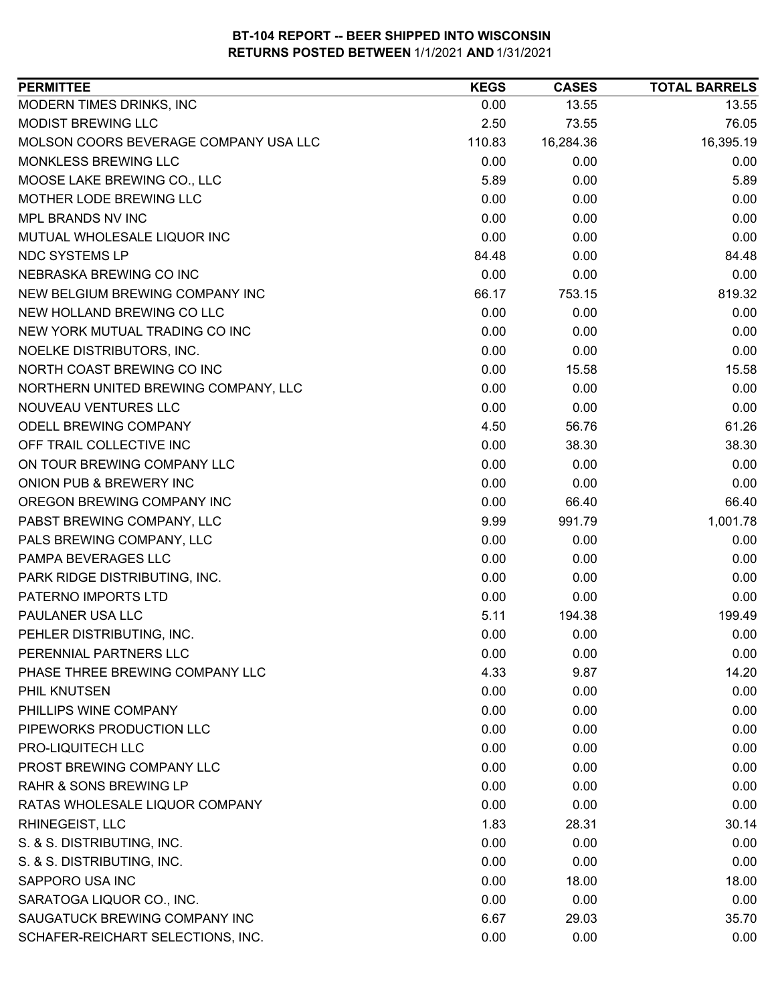| 13.55<br>0.00<br>13.55<br>76.05<br>2.50<br>73.55<br>16,395.19<br>110.83<br>16,284.36<br>0.00<br>0.00<br>0.00<br>5.89<br>0.00<br>5.89<br>0.00<br>0.00<br>0.00<br>0.00<br>0.00<br>0.00<br>0.00<br>0.00<br>0.00<br>84.48<br>0.00<br>84.48<br>0.00<br>0.00<br>0.00<br>753.15<br>819.32<br>66.17<br>0.00<br>0.00<br>0.00<br>0.00<br>0.00<br>0.00<br>0.00<br>0.00<br>0.00<br>0.00<br>15.58<br>15.58<br>0.00<br>0.00<br>0.00<br>0.00<br>0.00<br>0.00<br>61.26<br>4.50<br>56.76<br>0.00<br>38.30<br>38.30<br>0.00<br>0.00<br>0.00<br>0.00<br>0.00<br>0.00<br>0.00<br>66.40<br>66.40<br>9.99<br>1,001.78<br>991.79<br>0.00<br>0.00<br>0.00<br>0.00<br>0.00<br>0.00<br>0.00<br>0.00<br>0.00<br>0.00<br>0.00<br>0.00<br>199.49<br>5.11<br>194.38<br>0.00<br>0.00<br>0.00<br>0.00<br>0.00<br>0.00<br>4.33<br>14.20<br>9.87<br>0.00<br>0.00<br>0.00<br>0.00<br>0.00<br>0.00<br>0.00<br>0.00<br>0.00<br>0.00<br>0.00<br>0.00<br>PROST BREWING COMPANY LLC<br>0.00<br>0.00<br>0.00<br>0.00<br>0.00<br>0.00<br>RATAS WHOLESALE LIQUOR COMPANY<br>0.00<br>0.00<br>0.00<br>RHINEGEIST, LLC<br>1.83<br>28.31<br>30.14<br>S. & S. DISTRIBUTING, INC.<br>0.00<br>0.00<br>0.00<br>S. & S. DISTRIBUTING, INC.<br>0.00<br>0.00<br>0.00<br>0.00<br>18.00<br>18.00<br>SARATOGA LIQUOR CO., INC.<br>0.00<br>0.00<br>0.00<br>6.67<br>35.70<br>29.03 | <b>PERMITTEE</b>                      | <b>KEGS</b> | <b>CASES</b> | <b>TOTAL BARRELS</b> |
|-------------------------------------------------------------------------------------------------------------------------------------------------------------------------------------------------------------------------------------------------------------------------------------------------------------------------------------------------------------------------------------------------------------------------------------------------------------------------------------------------------------------------------------------------------------------------------------------------------------------------------------------------------------------------------------------------------------------------------------------------------------------------------------------------------------------------------------------------------------------------------------------------------------------------------------------------------------------------------------------------------------------------------------------------------------------------------------------------------------------------------------------------------------------------------------------------------------------------------------------------------------------------------------------------------------------------|---------------------------------------|-------------|--------------|----------------------|
|                                                                                                                                                                                                                                                                                                                                                                                                                                                                                                                                                                                                                                                                                                                                                                                                                                                                                                                                                                                                                                                                                                                                                                                                                                                                                                                         | MODERN TIMES DRINKS, INC              |             |              |                      |
|                                                                                                                                                                                                                                                                                                                                                                                                                                                                                                                                                                                                                                                                                                                                                                                                                                                                                                                                                                                                                                                                                                                                                                                                                                                                                                                         | <b>MODIST BREWING LLC</b>             |             |              |                      |
|                                                                                                                                                                                                                                                                                                                                                                                                                                                                                                                                                                                                                                                                                                                                                                                                                                                                                                                                                                                                                                                                                                                                                                                                                                                                                                                         | MOLSON COORS BEVERAGE COMPANY USA LLC |             |              |                      |
|                                                                                                                                                                                                                                                                                                                                                                                                                                                                                                                                                                                                                                                                                                                                                                                                                                                                                                                                                                                                                                                                                                                                                                                                                                                                                                                         | MONKLESS BREWING LLC                  |             |              |                      |
|                                                                                                                                                                                                                                                                                                                                                                                                                                                                                                                                                                                                                                                                                                                                                                                                                                                                                                                                                                                                                                                                                                                                                                                                                                                                                                                         | MOOSE LAKE BREWING CO., LLC           |             |              |                      |
|                                                                                                                                                                                                                                                                                                                                                                                                                                                                                                                                                                                                                                                                                                                                                                                                                                                                                                                                                                                                                                                                                                                                                                                                                                                                                                                         | MOTHER LODE BREWING LLC               |             |              |                      |
|                                                                                                                                                                                                                                                                                                                                                                                                                                                                                                                                                                                                                                                                                                                                                                                                                                                                                                                                                                                                                                                                                                                                                                                                                                                                                                                         | MPL BRANDS NV INC                     |             |              |                      |
|                                                                                                                                                                                                                                                                                                                                                                                                                                                                                                                                                                                                                                                                                                                                                                                                                                                                                                                                                                                                                                                                                                                                                                                                                                                                                                                         | MUTUAL WHOLESALE LIQUOR INC           |             |              |                      |
|                                                                                                                                                                                                                                                                                                                                                                                                                                                                                                                                                                                                                                                                                                                                                                                                                                                                                                                                                                                                                                                                                                                                                                                                                                                                                                                         | NDC SYSTEMS LP                        |             |              |                      |
|                                                                                                                                                                                                                                                                                                                                                                                                                                                                                                                                                                                                                                                                                                                                                                                                                                                                                                                                                                                                                                                                                                                                                                                                                                                                                                                         | NEBRASKA BREWING CO INC               |             |              |                      |
|                                                                                                                                                                                                                                                                                                                                                                                                                                                                                                                                                                                                                                                                                                                                                                                                                                                                                                                                                                                                                                                                                                                                                                                                                                                                                                                         | NEW BELGIUM BREWING COMPANY INC       |             |              |                      |
|                                                                                                                                                                                                                                                                                                                                                                                                                                                                                                                                                                                                                                                                                                                                                                                                                                                                                                                                                                                                                                                                                                                                                                                                                                                                                                                         | NEW HOLLAND BREWING CO LLC            |             |              |                      |
|                                                                                                                                                                                                                                                                                                                                                                                                                                                                                                                                                                                                                                                                                                                                                                                                                                                                                                                                                                                                                                                                                                                                                                                                                                                                                                                         | NEW YORK MUTUAL TRADING CO INC        |             |              |                      |
|                                                                                                                                                                                                                                                                                                                                                                                                                                                                                                                                                                                                                                                                                                                                                                                                                                                                                                                                                                                                                                                                                                                                                                                                                                                                                                                         | NOELKE DISTRIBUTORS, INC.             |             |              |                      |
|                                                                                                                                                                                                                                                                                                                                                                                                                                                                                                                                                                                                                                                                                                                                                                                                                                                                                                                                                                                                                                                                                                                                                                                                                                                                                                                         | NORTH COAST BREWING CO INC            |             |              |                      |
|                                                                                                                                                                                                                                                                                                                                                                                                                                                                                                                                                                                                                                                                                                                                                                                                                                                                                                                                                                                                                                                                                                                                                                                                                                                                                                                         | NORTHERN UNITED BREWING COMPANY, LLC  |             |              |                      |
|                                                                                                                                                                                                                                                                                                                                                                                                                                                                                                                                                                                                                                                                                                                                                                                                                                                                                                                                                                                                                                                                                                                                                                                                                                                                                                                         | NOUVEAU VENTURES LLC                  |             |              |                      |
|                                                                                                                                                                                                                                                                                                                                                                                                                                                                                                                                                                                                                                                                                                                                                                                                                                                                                                                                                                                                                                                                                                                                                                                                                                                                                                                         | <b>ODELL BREWING COMPANY</b>          |             |              |                      |
|                                                                                                                                                                                                                                                                                                                                                                                                                                                                                                                                                                                                                                                                                                                                                                                                                                                                                                                                                                                                                                                                                                                                                                                                                                                                                                                         | OFF TRAIL COLLECTIVE INC              |             |              |                      |
|                                                                                                                                                                                                                                                                                                                                                                                                                                                                                                                                                                                                                                                                                                                                                                                                                                                                                                                                                                                                                                                                                                                                                                                                                                                                                                                         | ON TOUR BREWING COMPANY LLC           |             |              |                      |
|                                                                                                                                                                                                                                                                                                                                                                                                                                                                                                                                                                                                                                                                                                                                                                                                                                                                                                                                                                                                                                                                                                                                                                                                                                                                                                                         | ONION PUB & BREWERY INC               |             |              |                      |
|                                                                                                                                                                                                                                                                                                                                                                                                                                                                                                                                                                                                                                                                                                                                                                                                                                                                                                                                                                                                                                                                                                                                                                                                                                                                                                                         | OREGON BREWING COMPANY INC            |             |              |                      |
|                                                                                                                                                                                                                                                                                                                                                                                                                                                                                                                                                                                                                                                                                                                                                                                                                                                                                                                                                                                                                                                                                                                                                                                                                                                                                                                         | PABST BREWING COMPANY, LLC            |             |              |                      |
|                                                                                                                                                                                                                                                                                                                                                                                                                                                                                                                                                                                                                                                                                                                                                                                                                                                                                                                                                                                                                                                                                                                                                                                                                                                                                                                         | PALS BREWING COMPANY, LLC             |             |              |                      |
|                                                                                                                                                                                                                                                                                                                                                                                                                                                                                                                                                                                                                                                                                                                                                                                                                                                                                                                                                                                                                                                                                                                                                                                                                                                                                                                         | PAMPA BEVERAGES LLC                   |             |              |                      |
|                                                                                                                                                                                                                                                                                                                                                                                                                                                                                                                                                                                                                                                                                                                                                                                                                                                                                                                                                                                                                                                                                                                                                                                                                                                                                                                         | PARK RIDGE DISTRIBUTING, INC.         |             |              |                      |
|                                                                                                                                                                                                                                                                                                                                                                                                                                                                                                                                                                                                                                                                                                                                                                                                                                                                                                                                                                                                                                                                                                                                                                                                                                                                                                                         | PATERNO IMPORTS LTD                   |             |              |                      |
|                                                                                                                                                                                                                                                                                                                                                                                                                                                                                                                                                                                                                                                                                                                                                                                                                                                                                                                                                                                                                                                                                                                                                                                                                                                                                                                         | PAULANER USA LLC                      |             |              |                      |
|                                                                                                                                                                                                                                                                                                                                                                                                                                                                                                                                                                                                                                                                                                                                                                                                                                                                                                                                                                                                                                                                                                                                                                                                                                                                                                                         | PEHLER DISTRIBUTING, INC.             |             |              |                      |
|                                                                                                                                                                                                                                                                                                                                                                                                                                                                                                                                                                                                                                                                                                                                                                                                                                                                                                                                                                                                                                                                                                                                                                                                                                                                                                                         | PERENNIAL PARTNERS LLC                |             |              |                      |
|                                                                                                                                                                                                                                                                                                                                                                                                                                                                                                                                                                                                                                                                                                                                                                                                                                                                                                                                                                                                                                                                                                                                                                                                                                                                                                                         | PHASE THREE BREWING COMPANY LLC       |             |              |                      |
|                                                                                                                                                                                                                                                                                                                                                                                                                                                                                                                                                                                                                                                                                                                                                                                                                                                                                                                                                                                                                                                                                                                                                                                                                                                                                                                         | PHIL KNUTSEN                          |             |              |                      |
|                                                                                                                                                                                                                                                                                                                                                                                                                                                                                                                                                                                                                                                                                                                                                                                                                                                                                                                                                                                                                                                                                                                                                                                                                                                                                                                         | PHILLIPS WINE COMPANY                 |             |              |                      |
|                                                                                                                                                                                                                                                                                                                                                                                                                                                                                                                                                                                                                                                                                                                                                                                                                                                                                                                                                                                                                                                                                                                                                                                                                                                                                                                         | PIPEWORKS PRODUCTION LLC              |             |              |                      |
|                                                                                                                                                                                                                                                                                                                                                                                                                                                                                                                                                                                                                                                                                                                                                                                                                                                                                                                                                                                                                                                                                                                                                                                                                                                                                                                         | PRO-LIQUITECH LLC                     |             |              |                      |
|                                                                                                                                                                                                                                                                                                                                                                                                                                                                                                                                                                                                                                                                                                                                                                                                                                                                                                                                                                                                                                                                                                                                                                                                                                                                                                                         |                                       |             |              |                      |
|                                                                                                                                                                                                                                                                                                                                                                                                                                                                                                                                                                                                                                                                                                                                                                                                                                                                                                                                                                                                                                                                                                                                                                                                                                                                                                                         | <b>RAHR &amp; SONS BREWING LP</b>     |             |              |                      |
|                                                                                                                                                                                                                                                                                                                                                                                                                                                                                                                                                                                                                                                                                                                                                                                                                                                                                                                                                                                                                                                                                                                                                                                                                                                                                                                         |                                       |             |              |                      |
|                                                                                                                                                                                                                                                                                                                                                                                                                                                                                                                                                                                                                                                                                                                                                                                                                                                                                                                                                                                                                                                                                                                                                                                                                                                                                                                         |                                       |             |              |                      |
|                                                                                                                                                                                                                                                                                                                                                                                                                                                                                                                                                                                                                                                                                                                                                                                                                                                                                                                                                                                                                                                                                                                                                                                                                                                                                                                         |                                       |             |              |                      |
|                                                                                                                                                                                                                                                                                                                                                                                                                                                                                                                                                                                                                                                                                                                                                                                                                                                                                                                                                                                                                                                                                                                                                                                                                                                                                                                         |                                       |             |              |                      |
|                                                                                                                                                                                                                                                                                                                                                                                                                                                                                                                                                                                                                                                                                                                                                                                                                                                                                                                                                                                                                                                                                                                                                                                                                                                                                                                         | SAPPORO USA INC                       |             |              |                      |
|                                                                                                                                                                                                                                                                                                                                                                                                                                                                                                                                                                                                                                                                                                                                                                                                                                                                                                                                                                                                                                                                                                                                                                                                                                                                                                                         |                                       |             |              |                      |
|                                                                                                                                                                                                                                                                                                                                                                                                                                                                                                                                                                                                                                                                                                                                                                                                                                                                                                                                                                                                                                                                                                                                                                                                                                                                                                                         | SAUGATUCK BREWING COMPANY INC         |             |              |                      |
|                                                                                                                                                                                                                                                                                                                                                                                                                                                                                                                                                                                                                                                                                                                                                                                                                                                                                                                                                                                                                                                                                                                                                                                                                                                                                                                         | SCHAFER-REICHART SELECTIONS, INC.     | 0.00        | 0.00         | 0.00                 |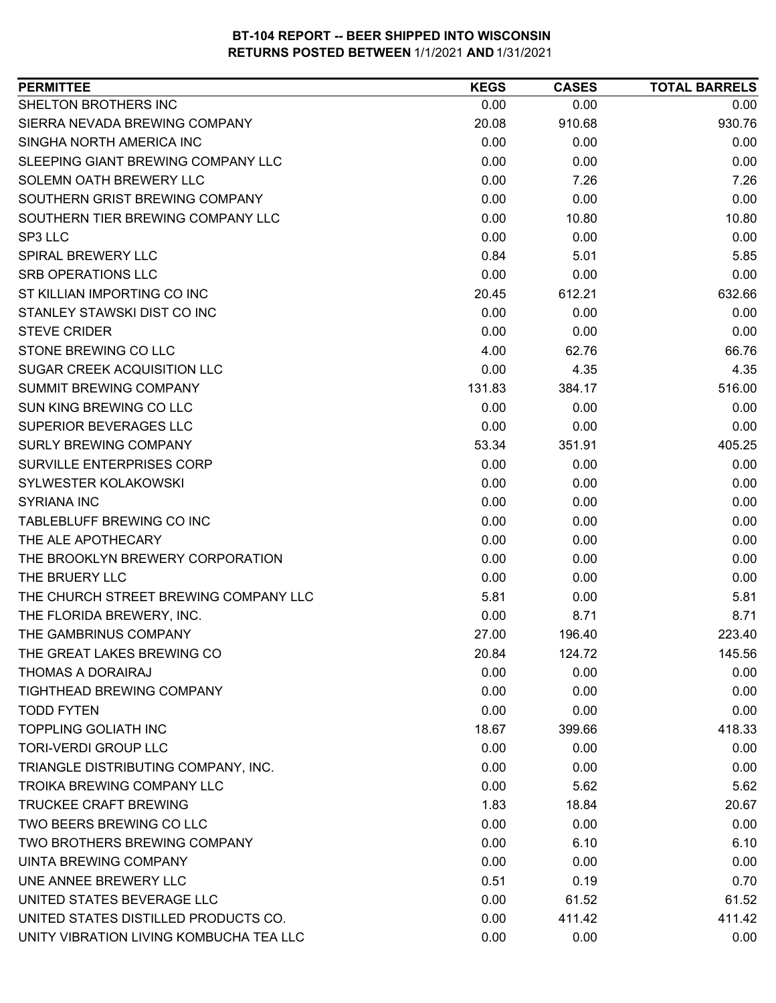| SHELTON BROTHERS INC<br>0.00<br>0.00<br>0.00<br>SIERRA NEVADA BREWING COMPANY<br>910.68<br>930.76<br>20.08<br>SINGHA NORTH AMERICA INC<br>0.00<br>0.00<br>0.00<br>SLEEPING GIANT BREWING COMPANY LLC<br>0.00<br>0.00<br>0.00<br>0.00<br>7.26<br>SOLEMN OATH BREWERY LLC<br>7.26<br>SOUTHERN GRIST BREWING COMPANY<br>0.00<br>0.00<br>0.00<br>SOUTHERN TIER BREWING COMPANY LLC<br>0.00<br>10.80<br>10.80<br>SP3 LLC<br>0.00<br>0.00<br>0.00<br>0.84<br>5.85<br><b>SPIRAL BREWERY LLC</b><br>5.01<br><b>SRB OPERATIONS LLC</b><br>0.00<br>0.00<br>0.00<br>ST KILLIAN IMPORTING CO INC<br>612.21<br>632.66<br>20.45<br>0.00<br>0.00<br>STANLEY STAWSKI DIST CO INC<br>0.00<br><b>STEVE CRIDER</b><br>0.00<br>0.00<br>0.00<br>STONE BREWING CO LLC<br>4.00<br>66.76<br>62.76<br>SUGAR CREEK ACQUISITION LLC<br>0.00<br>4.35<br>4.35<br><b>SUMMIT BREWING COMPANY</b><br>131.83<br>384.17<br>516.00<br>SUN KING BREWING CO LLC<br>0.00<br>0.00<br>0.00<br>SUPERIOR BEVERAGES LLC<br>0.00<br>0.00<br>0.00<br><b>SURLY BREWING COMPANY</b><br>351.91<br>405.25<br>53.34<br><b>SURVILLE ENTERPRISES CORP</b><br>0.00<br>0.00<br>0.00<br>SYLWESTER KOLAKOWSKI<br>0.00<br>0.00<br>0.00<br>0.00<br><b>SYRIANA INC</b><br>0.00<br>0.00<br>TABLEBLUFF BREWING CO INC<br>0.00<br>0.00<br>0.00<br>THE ALE APOTHECARY<br>0.00<br>0.00<br>0.00<br>0.00<br>0.00<br>THE BROOKLYN BREWERY CORPORATION<br>0.00<br>THE BRUERY LLC<br>0.00<br>0.00<br>0.00<br>THE CHURCH STREET BREWING COMPANY LLC<br>5.81<br>5.81<br>0.00<br>THE FLORIDA BREWERY, INC.<br>8.71<br>0.00<br>8.71<br>THE GAMBRINUS COMPANY<br>27.00<br>196.40<br>223.40<br>THE GREAT LAKES BREWING CO<br>20.84<br>124.72<br>145.56<br>0.00<br>0.00<br>0.00<br>THOMAS A DORAIRAJ<br><b>TIGHTHEAD BREWING COMPANY</b><br>0.00<br>0.00<br>0.00<br><b>TODD FYTEN</b><br>0.00<br>0.00<br>0.00<br><b>TOPPLING GOLIATH INC</b><br>18.67<br>399.66<br>418.33<br><b>TORI-VERDI GROUP LLC</b><br>0.00<br>0.00<br>0.00<br>TRIANGLE DISTRIBUTING COMPANY, INC.<br>0.00<br>0.00<br>0.00<br>TROIKA BREWING COMPANY LLC<br>5.62<br>0.00<br>5.62<br><b>TRUCKEE CRAFT BREWING</b><br>1.83<br>18.84<br>20.67<br>TWO BEERS BREWING CO LLC<br>0.00<br>0.00<br>0.00<br>TWO BROTHERS BREWING COMPANY<br>0.00<br>6.10<br>6.10<br>UINTA BREWING COMPANY<br>0.00<br>0.00<br>0.00<br>0.51<br>0.70<br>0.19 | <b>PERMITTEE</b>                     | <b>KEGS</b> | <b>CASES</b> | <b>TOTAL BARRELS</b> |
|--------------------------------------------------------------------------------------------------------------------------------------------------------------------------------------------------------------------------------------------------------------------------------------------------------------------------------------------------------------------------------------------------------------------------------------------------------------------------------------------------------------------------------------------------------------------------------------------------------------------------------------------------------------------------------------------------------------------------------------------------------------------------------------------------------------------------------------------------------------------------------------------------------------------------------------------------------------------------------------------------------------------------------------------------------------------------------------------------------------------------------------------------------------------------------------------------------------------------------------------------------------------------------------------------------------------------------------------------------------------------------------------------------------------------------------------------------------------------------------------------------------------------------------------------------------------------------------------------------------------------------------------------------------------------------------------------------------------------------------------------------------------------------------------------------------------------------------------------------------------------------------------------------------------------------------------------------------------------------------------------------------------------------------------------------------------------------------------------------------------------------------------------------------------------------------------------------------------------------------------------------------------------------------------------------------------------|--------------------------------------|-------------|--------------|----------------------|
|                                                                                                                                                                                                                                                                                                                                                                                                                                                                                                                                                                                                                                                                                                                                                                                                                                                                                                                                                                                                                                                                                                                                                                                                                                                                                                                                                                                                                                                                                                                                                                                                                                                                                                                                                                                                                                                                                                                                                                                                                                                                                                                                                                                                                                                                                                                          |                                      |             |              |                      |
|                                                                                                                                                                                                                                                                                                                                                                                                                                                                                                                                                                                                                                                                                                                                                                                                                                                                                                                                                                                                                                                                                                                                                                                                                                                                                                                                                                                                                                                                                                                                                                                                                                                                                                                                                                                                                                                                                                                                                                                                                                                                                                                                                                                                                                                                                                                          |                                      |             |              |                      |
|                                                                                                                                                                                                                                                                                                                                                                                                                                                                                                                                                                                                                                                                                                                                                                                                                                                                                                                                                                                                                                                                                                                                                                                                                                                                                                                                                                                                                                                                                                                                                                                                                                                                                                                                                                                                                                                                                                                                                                                                                                                                                                                                                                                                                                                                                                                          |                                      |             |              |                      |
|                                                                                                                                                                                                                                                                                                                                                                                                                                                                                                                                                                                                                                                                                                                                                                                                                                                                                                                                                                                                                                                                                                                                                                                                                                                                                                                                                                                                                                                                                                                                                                                                                                                                                                                                                                                                                                                                                                                                                                                                                                                                                                                                                                                                                                                                                                                          |                                      |             |              |                      |
|                                                                                                                                                                                                                                                                                                                                                                                                                                                                                                                                                                                                                                                                                                                                                                                                                                                                                                                                                                                                                                                                                                                                                                                                                                                                                                                                                                                                                                                                                                                                                                                                                                                                                                                                                                                                                                                                                                                                                                                                                                                                                                                                                                                                                                                                                                                          |                                      |             |              |                      |
|                                                                                                                                                                                                                                                                                                                                                                                                                                                                                                                                                                                                                                                                                                                                                                                                                                                                                                                                                                                                                                                                                                                                                                                                                                                                                                                                                                                                                                                                                                                                                                                                                                                                                                                                                                                                                                                                                                                                                                                                                                                                                                                                                                                                                                                                                                                          |                                      |             |              |                      |
|                                                                                                                                                                                                                                                                                                                                                                                                                                                                                                                                                                                                                                                                                                                                                                                                                                                                                                                                                                                                                                                                                                                                                                                                                                                                                                                                                                                                                                                                                                                                                                                                                                                                                                                                                                                                                                                                                                                                                                                                                                                                                                                                                                                                                                                                                                                          |                                      |             |              |                      |
|                                                                                                                                                                                                                                                                                                                                                                                                                                                                                                                                                                                                                                                                                                                                                                                                                                                                                                                                                                                                                                                                                                                                                                                                                                                                                                                                                                                                                                                                                                                                                                                                                                                                                                                                                                                                                                                                                                                                                                                                                                                                                                                                                                                                                                                                                                                          |                                      |             |              |                      |
|                                                                                                                                                                                                                                                                                                                                                                                                                                                                                                                                                                                                                                                                                                                                                                                                                                                                                                                                                                                                                                                                                                                                                                                                                                                                                                                                                                                                                                                                                                                                                                                                                                                                                                                                                                                                                                                                                                                                                                                                                                                                                                                                                                                                                                                                                                                          |                                      |             |              |                      |
|                                                                                                                                                                                                                                                                                                                                                                                                                                                                                                                                                                                                                                                                                                                                                                                                                                                                                                                                                                                                                                                                                                                                                                                                                                                                                                                                                                                                                                                                                                                                                                                                                                                                                                                                                                                                                                                                                                                                                                                                                                                                                                                                                                                                                                                                                                                          |                                      |             |              |                      |
|                                                                                                                                                                                                                                                                                                                                                                                                                                                                                                                                                                                                                                                                                                                                                                                                                                                                                                                                                                                                                                                                                                                                                                                                                                                                                                                                                                                                                                                                                                                                                                                                                                                                                                                                                                                                                                                                                                                                                                                                                                                                                                                                                                                                                                                                                                                          |                                      |             |              |                      |
|                                                                                                                                                                                                                                                                                                                                                                                                                                                                                                                                                                                                                                                                                                                                                                                                                                                                                                                                                                                                                                                                                                                                                                                                                                                                                                                                                                                                                                                                                                                                                                                                                                                                                                                                                                                                                                                                                                                                                                                                                                                                                                                                                                                                                                                                                                                          |                                      |             |              |                      |
|                                                                                                                                                                                                                                                                                                                                                                                                                                                                                                                                                                                                                                                                                                                                                                                                                                                                                                                                                                                                                                                                                                                                                                                                                                                                                                                                                                                                                                                                                                                                                                                                                                                                                                                                                                                                                                                                                                                                                                                                                                                                                                                                                                                                                                                                                                                          |                                      |             |              |                      |
|                                                                                                                                                                                                                                                                                                                                                                                                                                                                                                                                                                                                                                                                                                                                                                                                                                                                                                                                                                                                                                                                                                                                                                                                                                                                                                                                                                                                                                                                                                                                                                                                                                                                                                                                                                                                                                                                                                                                                                                                                                                                                                                                                                                                                                                                                                                          |                                      |             |              |                      |
|                                                                                                                                                                                                                                                                                                                                                                                                                                                                                                                                                                                                                                                                                                                                                                                                                                                                                                                                                                                                                                                                                                                                                                                                                                                                                                                                                                                                                                                                                                                                                                                                                                                                                                                                                                                                                                                                                                                                                                                                                                                                                                                                                                                                                                                                                                                          |                                      |             |              |                      |
|                                                                                                                                                                                                                                                                                                                                                                                                                                                                                                                                                                                                                                                                                                                                                                                                                                                                                                                                                                                                                                                                                                                                                                                                                                                                                                                                                                                                                                                                                                                                                                                                                                                                                                                                                                                                                                                                                                                                                                                                                                                                                                                                                                                                                                                                                                                          |                                      |             |              |                      |
|                                                                                                                                                                                                                                                                                                                                                                                                                                                                                                                                                                                                                                                                                                                                                                                                                                                                                                                                                                                                                                                                                                                                                                                                                                                                                                                                                                                                                                                                                                                                                                                                                                                                                                                                                                                                                                                                                                                                                                                                                                                                                                                                                                                                                                                                                                                          |                                      |             |              |                      |
|                                                                                                                                                                                                                                                                                                                                                                                                                                                                                                                                                                                                                                                                                                                                                                                                                                                                                                                                                                                                                                                                                                                                                                                                                                                                                                                                                                                                                                                                                                                                                                                                                                                                                                                                                                                                                                                                                                                                                                                                                                                                                                                                                                                                                                                                                                                          |                                      |             |              |                      |
|                                                                                                                                                                                                                                                                                                                                                                                                                                                                                                                                                                                                                                                                                                                                                                                                                                                                                                                                                                                                                                                                                                                                                                                                                                                                                                                                                                                                                                                                                                                                                                                                                                                                                                                                                                                                                                                                                                                                                                                                                                                                                                                                                                                                                                                                                                                          |                                      |             |              |                      |
|                                                                                                                                                                                                                                                                                                                                                                                                                                                                                                                                                                                                                                                                                                                                                                                                                                                                                                                                                                                                                                                                                                                                                                                                                                                                                                                                                                                                                                                                                                                                                                                                                                                                                                                                                                                                                                                                                                                                                                                                                                                                                                                                                                                                                                                                                                                          |                                      |             |              |                      |
|                                                                                                                                                                                                                                                                                                                                                                                                                                                                                                                                                                                                                                                                                                                                                                                                                                                                                                                                                                                                                                                                                                                                                                                                                                                                                                                                                                                                                                                                                                                                                                                                                                                                                                                                                                                                                                                                                                                                                                                                                                                                                                                                                                                                                                                                                                                          |                                      |             |              |                      |
|                                                                                                                                                                                                                                                                                                                                                                                                                                                                                                                                                                                                                                                                                                                                                                                                                                                                                                                                                                                                                                                                                                                                                                                                                                                                                                                                                                                                                                                                                                                                                                                                                                                                                                                                                                                                                                                                                                                                                                                                                                                                                                                                                                                                                                                                                                                          |                                      |             |              |                      |
|                                                                                                                                                                                                                                                                                                                                                                                                                                                                                                                                                                                                                                                                                                                                                                                                                                                                                                                                                                                                                                                                                                                                                                                                                                                                                                                                                                                                                                                                                                                                                                                                                                                                                                                                                                                                                                                                                                                                                                                                                                                                                                                                                                                                                                                                                                                          |                                      |             |              |                      |
|                                                                                                                                                                                                                                                                                                                                                                                                                                                                                                                                                                                                                                                                                                                                                                                                                                                                                                                                                                                                                                                                                                                                                                                                                                                                                                                                                                                                                                                                                                                                                                                                                                                                                                                                                                                                                                                                                                                                                                                                                                                                                                                                                                                                                                                                                                                          |                                      |             |              |                      |
|                                                                                                                                                                                                                                                                                                                                                                                                                                                                                                                                                                                                                                                                                                                                                                                                                                                                                                                                                                                                                                                                                                                                                                                                                                                                                                                                                                                                                                                                                                                                                                                                                                                                                                                                                                                                                                                                                                                                                                                                                                                                                                                                                                                                                                                                                                                          |                                      |             |              |                      |
|                                                                                                                                                                                                                                                                                                                                                                                                                                                                                                                                                                                                                                                                                                                                                                                                                                                                                                                                                                                                                                                                                                                                                                                                                                                                                                                                                                                                                                                                                                                                                                                                                                                                                                                                                                                                                                                                                                                                                                                                                                                                                                                                                                                                                                                                                                                          |                                      |             |              |                      |
|                                                                                                                                                                                                                                                                                                                                                                                                                                                                                                                                                                                                                                                                                                                                                                                                                                                                                                                                                                                                                                                                                                                                                                                                                                                                                                                                                                                                                                                                                                                                                                                                                                                                                                                                                                                                                                                                                                                                                                                                                                                                                                                                                                                                                                                                                                                          |                                      |             |              |                      |
|                                                                                                                                                                                                                                                                                                                                                                                                                                                                                                                                                                                                                                                                                                                                                                                                                                                                                                                                                                                                                                                                                                                                                                                                                                                                                                                                                                                                                                                                                                                                                                                                                                                                                                                                                                                                                                                                                                                                                                                                                                                                                                                                                                                                                                                                                                                          |                                      |             |              |                      |
|                                                                                                                                                                                                                                                                                                                                                                                                                                                                                                                                                                                                                                                                                                                                                                                                                                                                                                                                                                                                                                                                                                                                                                                                                                                                                                                                                                                                                                                                                                                                                                                                                                                                                                                                                                                                                                                                                                                                                                                                                                                                                                                                                                                                                                                                                                                          |                                      |             |              |                      |
|                                                                                                                                                                                                                                                                                                                                                                                                                                                                                                                                                                                                                                                                                                                                                                                                                                                                                                                                                                                                                                                                                                                                                                                                                                                                                                                                                                                                                                                                                                                                                                                                                                                                                                                                                                                                                                                                                                                                                                                                                                                                                                                                                                                                                                                                                                                          |                                      |             |              |                      |
|                                                                                                                                                                                                                                                                                                                                                                                                                                                                                                                                                                                                                                                                                                                                                                                                                                                                                                                                                                                                                                                                                                                                                                                                                                                                                                                                                                                                                                                                                                                                                                                                                                                                                                                                                                                                                                                                                                                                                                                                                                                                                                                                                                                                                                                                                                                          |                                      |             |              |                      |
|                                                                                                                                                                                                                                                                                                                                                                                                                                                                                                                                                                                                                                                                                                                                                                                                                                                                                                                                                                                                                                                                                                                                                                                                                                                                                                                                                                                                                                                                                                                                                                                                                                                                                                                                                                                                                                                                                                                                                                                                                                                                                                                                                                                                                                                                                                                          |                                      |             |              |                      |
|                                                                                                                                                                                                                                                                                                                                                                                                                                                                                                                                                                                                                                                                                                                                                                                                                                                                                                                                                                                                                                                                                                                                                                                                                                                                                                                                                                                                                                                                                                                                                                                                                                                                                                                                                                                                                                                                                                                                                                                                                                                                                                                                                                                                                                                                                                                          |                                      |             |              |                      |
|                                                                                                                                                                                                                                                                                                                                                                                                                                                                                                                                                                                                                                                                                                                                                                                                                                                                                                                                                                                                                                                                                                                                                                                                                                                                                                                                                                                                                                                                                                                                                                                                                                                                                                                                                                                                                                                                                                                                                                                                                                                                                                                                                                                                                                                                                                                          |                                      |             |              |                      |
|                                                                                                                                                                                                                                                                                                                                                                                                                                                                                                                                                                                                                                                                                                                                                                                                                                                                                                                                                                                                                                                                                                                                                                                                                                                                                                                                                                                                                                                                                                                                                                                                                                                                                                                                                                                                                                                                                                                                                                                                                                                                                                                                                                                                                                                                                                                          |                                      |             |              |                      |
|                                                                                                                                                                                                                                                                                                                                                                                                                                                                                                                                                                                                                                                                                                                                                                                                                                                                                                                                                                                                                                                                                                                                                                                                                                                                                                                                                                                                                                                                                                                                                                                                                                                                                                                                                                                                                                                                                                                                                                                                                                                                                                                                                                                                                                                                                                                          |                                      |             |              |                      |
|                                                                                                                                                                                                                                                                                                                                                                                                                                                                                                                                                                                                                                                                                                                                                                                                                                                                                                                                                                                                                                                                                                                                                                                                                                                                                                                                                                                                                                                                                                                                                                                                                                                                                                                                                                                                                                                                                                                                                                                                                                                                                                                                                                                                                                                                                                                          |                                      |             |              |                      |
|                                                                                                                                                                                                                                                                                                                                                                                                                                                                                                                                                                                                                                                                                                                                                                                                                                                                                                                                                                                                                                                                                                                                                                                                                                                                                                                                                                                                                                                                                                                                                                                                                                                                                                                                                                                                                                                                                                                                                                                                                                                                                                                                                                                                                                                                                                                          |                                      |             |              |                      |
|                                                                                                                                                                                                                                                                                                                                                                                                                                                                                                                                                                                                                                                                                                                                                                                                                                                                                                                                                                                                                                                                                                                                                                                                                                                                                                                                                                                                                                                                                                                                                                                                                                                                                                                                                                                                                                                                                                                                                                                                                                                                                                                                                                                                                                                                                                                          |                                      |             |              |                      |
|                                                                                                                                                                                                                                                                                                                                                                                                                                                                                                                                                                                                                                                                                                                                                                                                                                                                                                                                                                                                                                                                                                                                                                                                                                                                                                                                                                                                                                                                                                                                                                                                                                                                                                                                                                                                                                                                                                                                                                                                                                                                                                                                                                                                                                                                                                                          |                                      |             |              |                      |
|                                                                                                                                                                                                                                                                                                                                                                                                                                                                                                                                                                                                                                                                                                                                                                                                                                                                                                                                                                                                                                                                                                                                                                                                                                                                                                                                                                                                                                                                                                                                                                                                                                                                                                                                                                                                                                                                                                                                                                                                                                                                                                                                                                                                                                                                                                                          |                                      |             |              |                      |
|                                                                                                                                                                                                                                                                                                                                                                                                                                                                                                                                                                                                                                                                                                                                                                                                                                                                                                                                                                                                                                                                                                                                                                                                                                                                                                                                                                                                                                                                                                                                                                                                                                                                                                                                                                                                                                                                                                                                                                                                                                                                                                                                                                                                                                                                                                                          | UNE ANNEE BREWERY LLC                |             |              |                      |
|                                                                                                                                                                                                                                                                                                                                                                                                                                                                                                                                                                                                                                                                                                                                                                                                                                                                                                                                                                                                                                                                                                                                                                                                                                                                                                                                                                                                                                                                                                                                                                                                                                                                                                                                                                                                                                                                                                                                                                                                                                                                                                                                                                                                                                                                                                                          | UNITED STATES BEVERAGE LLC           | 0.00        | 61.52        | 61.52                |
| 411.42<br>0.00<br>411.42                                                                                                                                                                                                                                                                                                                                                                                                                                                                                                                                                                                                                                                                                                                                                                                                                                                                                                                                                                                                                                                                                                                                                                                                                                                                                                                                                                                                                                                                                                                                                                                                                                                                                                                                                                                                                                                                                                                                                                                                                                                                                                                                                                                                                                                                                                 | UNITED STATES DISTILLED PRODUCTS CO. |             |              |                      |
| UNITY VIBRATION LIVING KOMBUCHA TEA LLC<br>0.00<br>0.00<br>0.00                                                                                                                                                                                                                                                                                                                                                                                                                                                                                                                                                                                                                                                                                                                                                                                                                                                                                                                                                                                                                                                                                                                                                                                                                                                                                                                                                                                                                                                                                                                                                                                                                                                                                                                                                                                                                                                                                                                                                                                                                                                                                                                                                                                                                                                          |                                      |             |              |                      |